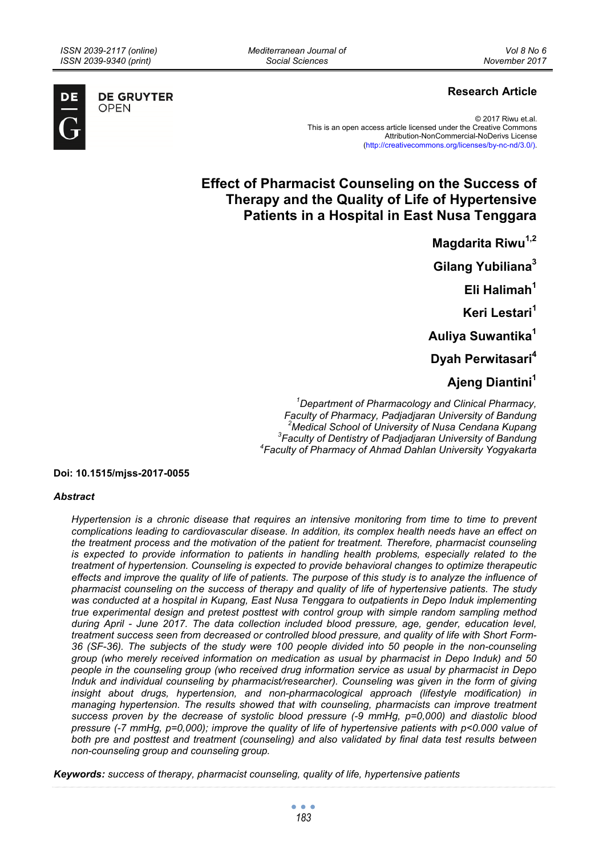**DE GRUYTER** OPEN

# **Research Article**

© 2017 Riwu et.al. This is an open access article licensed under the Creative Commons Attribution-NonCommercial-NoDerivs License (http://creativecommons.org/licenses/by-nc-nd/3.0/).

# **Effect of Pharmacist Counseling on the Success of Therapy and the Quality of Life of Hypertensive Patients in a Hospital in East Nusa Tenggara**

**Magdarita Riwu<sup>1,2</sup> Gilang Yubiliana<sup>3</sup> Eli Halimah1 Keri Lestari<sup>1</sup> Auliya Suwantika<sup>1</sup> Dyah Perwitasari<sup>4</sup> Ajeng Diantini1**

*1 Department of Pharmacology and Clinical Pharmacy, Faculty of Pharmacy, Padjadjaran University of Bandung 2 Medical School of University of Nusa Cendana Kupang 3 Faculty of Dentistry of Padjadjaran University of Bandung 4 Faculty of Pharmacy of Ahmad Dahlan University Yogyakarta* 

#### **Doi: 10.1515/mjss-2017-0055**

#### *Abstract*

*Hypertension is a chronic disease that requires an intensive monitoring from time to time to prevent complications leading to cardiovascular disease. In addition, its complex health needs have an effect on the treatment process and the motivation of the patient for treatment. Therefore, pharmacist counseling is expected to provide information to patients in handling health problems, especially related to the treatment of hypertension. Counseling is expected to provide behavioral changes to optimize therapeutic*  effects and improve the quality of life of patients. The purpose of this study is to analyze the influence of *pharmacist counseling on the success of therapy and quality of life of hypertensive patients. The study was conducted at a hospital in Kupang, East Nusa Tenggara to outpatients in Depo Induk implementing true experimental design and pretest posttest with control group with simple random sampling method during April - June 2017. The data collection included blood pressure, age, gender, education level, treatment success seen from decreased or controlled blood pressure, and quality of life with Short Form-36 (SF-36). The subjects of the study were 100 people divided into 50 people in the non-counseling group (who merely received information on medication as usual by pharmacist in Depo Induk) and 50 people in the counseling group (who received drug information service as usual by pharmacist in Depo Induk and individual counseling by pharmacist/researcher). Counseling was given in the form of giving*  insight about drugs, hypertension, and non-pharmacological approach (lifestyle modification) in *managing hypertension. The results showed that with counseling, pharmacists can improve treatment success proven by the decrease of systolic blood pressure (-9 mmHg, p=0,000) and diastolic blood pressure (-7 mmHg, p=0,000); improve the quality of life of hypertensive patients with p<0.000 value of both pre and posttest and treatment (counseling) and also validated by final data test results between non-counseling group and counseling group.* 

*Keywords: success of therapy, pharmacist counseling, quality of life, hypertensive patients*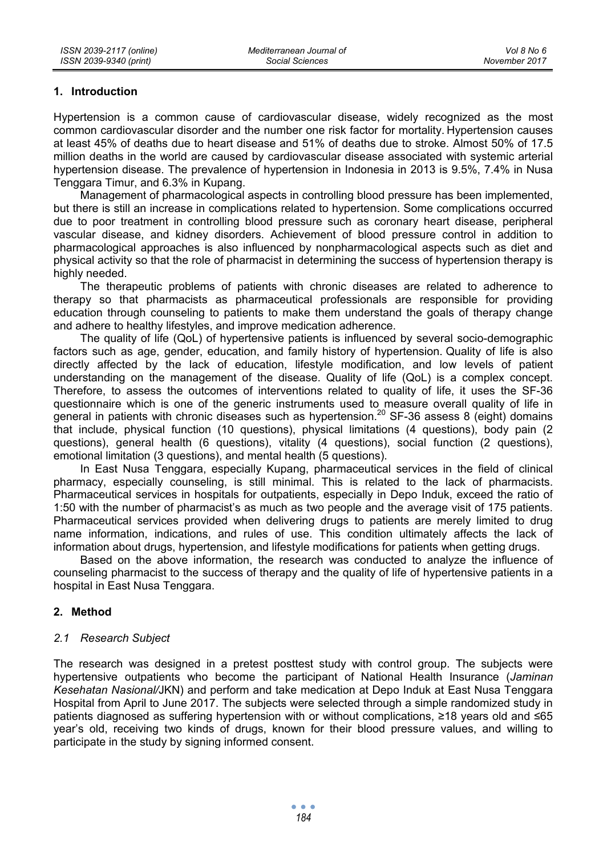### **1. Introduction**

Hypertension is a common cause of cardiovascular disease, widely recognized as the most common cardiovascular disorder and the number one risk factor for mortality. Hypertension causes at least 45% of deaths due to heart disease and 51% of deaths due to stroke. Almost 50% of 17.5 million deaths in the world are caused by cardiovascular disease associated with systemic arterial hypertension disease. The prevalence of hypertension in Indonesia in 2013 is 9.5%, 7.4% in Nusa Tenggara Timur, and 6.3% in Kupang.

Management of pharmacological aspects in controlling blood pressure has been implemented, but there is still an increase in complications related to hypertension. Some complications occurred due to poor treatment in controlling blood pressure such as coronary heart disease, peripheral vascular disease, and kidney disorders. Achievement of blood pressure control in addition to pharmacological approaches is also influenced by nonpharmacological aspects such as diet and physical activity so that the role of pharmacist in determining the success of hypertension therapy is highly needed.

The therapeutic problems of patients with chronic diseases are related to adherence to therapy so that pharmacists as pharmaceutical professionals are responsible for providing education through counseling to patients to make them understand the goals of therapy change and adhere to healthy lifestyles, and improve medication adherence.

The quality of life (QoL) of hypertensive patients is influenced by several socio-demographic factors such as age, gender, education, and family history of hypertension. Quality of life is also directly affected by the lack of education, lifestyle modification, and low levels of patient understanding on the management of the disease. Quality of life (QoL) is a complex concept. Therefore, to assess the outcomes of interventions related to quality of life, it uses the SF-36 questionnaire which is one of the generic instruments used to measure overall quality of life in general in patients with chronic diseases such as hypertension.<sup>20</sup> SF-36 assess 8 (eight) domains that include, physical function (10 questions), physical limitations (4 questions), body pain (2 questions), general health (6 questions), vitality (4 questions), social function (2 questions), emotional limitation (3 questions), and mental health (5 questions).

In East Nusa Tenggara, especially Kupang, pharmaceutical services in the field of clinical pharmacy, especially counseling, is still minimal. This is related to the lack of pharmacists. Pharmaceutical services in hospitals for outpatients, especially in Depo Induk, exceed the ratio of 1:50 with the number of pharmacist's as much as two people and the average visit of 175 patients. Pharmaceutical services provided when delivering drugs to patients are merely limited to drug name information, indications, and rules of use. This condition ultimately affects the lack of information about drugs, hypertension, and lifestyle modifications for patients when getting drugs.

Based on the above information, the research was conducted to analyze the influence of counseling pharmacist to the success of therapy and the quality of life of hypertensive patients in a hospital in East Nusa Tenggara.

### **2. Method**

#### *2.1 Research Subject*

The research was designed in a pretest posttest study with control group. The subjects were hypertensive outpatients who become the participant of National Health Insurance (*Jaminan Kesehatan Nasional/*JKN) and perform and take medication at Depo Induk at East Nusa Tenggara Hospital from April to June 2017. The subjects were selected through a simple randomized study in patients diagnosed as suffering hypertension with or without complications, ≥18 years old and ≤65 year's old, receiving two kinds of drugs, known for their blood pressure values, and willing to participate in the study by signing informed consent.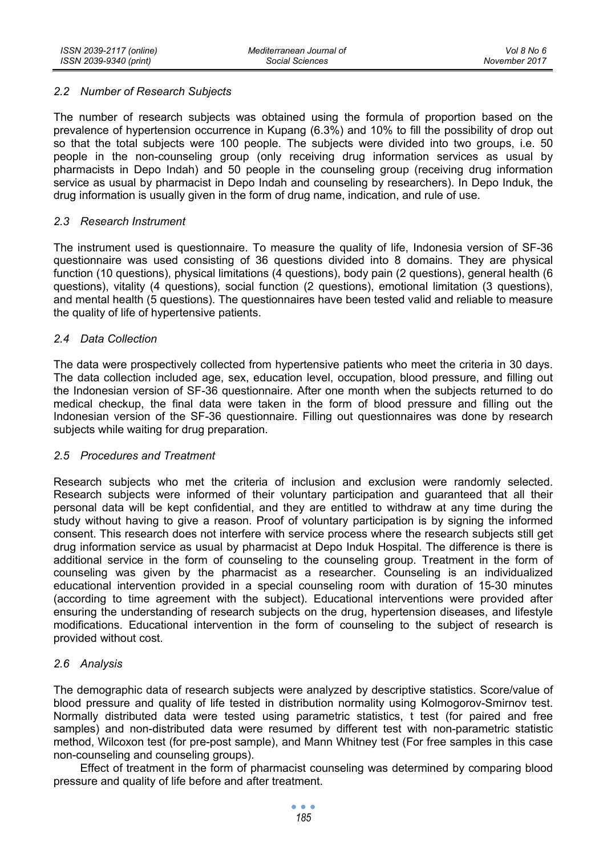### *2.2 Number of Research Subjects*

The number of research subjects was obtained using the formula of proportion based on the prevalence of hypertension occurrence in Kupang (6.3%) and 10% to fill the possibility of drop out so that the total subjects were 100 people. The subjects were divided into two groups, i.e. 50 people in the non-counseling group (only receiving drug information services as usual by pharmacists in Depo Indah) and 50 people in the counseling group (receiving drug information service as usual by pharmacist in Depo Indah and counseling by researchers). In Depo Induk, the drug information is usually given in the form of drug name, indication, and rule of use.

#### *2.3 Research Instrument*

The instrument used is questionnaire. To measure the quality of life, Indonesia version of SF-36 questionnaire was used consisting of 36 questions divided into 8 domains. They are physical function (10 questions), physical limitations (4 questions), body pain (2 questions), general health (6 questions), vitality (4 questions), social function (2 questions), emotional limitation (3 questions), and mental health (5 questions). The questionnaires have been tested valid and reliable to measure the quality of life of hypertensive patients.

#### *2.4 Data Collection*

The data were prospectively collected from hypertensive patients who meet the criteria in 30 days. The data collection included age, sex, education level, occupation, blood pressure, and filling out the Indonesian version of SF-36 questionnaire. After one month when the subjects returned to do medical checkup, the final data were taken in the form of blood pressure and filling out the Indonesian version of the SF-36 questionnaire. Filling out questionnaires was done by research subjects while waiting for drug preparation.

#### *2.5 Procedures and Treatment*

Research subjects who met the criteria of inclusion and exclusion were randomly selected. Research subjects were informed of their voluntary participation and guaranteed that all their personal data will be kept confidential, and they are entitled to withdraw at any time during the study without having to give a reason. Proof of voluntary participation is by signing the informed consent. This research does not interfere with service process where the research subjects still get drug information service as usual by pharmacist at Depo Induk Hospital. The difference is there is additional service in the form of counseling to the counseling group. Treatment in the form of counseling was given by the pharmacist as a researcher. Counseling is an individualized educational intervention provided in a special counseling room with duration of 15-30 minutes (according to time agreement with the subject). Educational interventions were provided after ensuring the understanding of research subjects on the drug, hypertension diseases, and lifestyle modifications. Educational intervention in the form of counseling to the subject of research is provided without cost.

### *2.6 Analysis*

The demographic data of research subjects were analyzed by descriptive statistics. Score/value of blood pressure and quality of life tested in distribution normality using Kolmogorov-Smirnov test. Normally distributed data were tested using parametric statistics, t test (for paired and free samples) and non-distributed data were resumed by different test with non-parametric statistic method, Wilcoxon test (for pre-post sample), and Mann Whitney test (For free samples in this case non-counseling and counseling groups).

Effect of treatment in the form of pharmacist counseling was determined by comparing blood pressure and quality of life before and after treatment.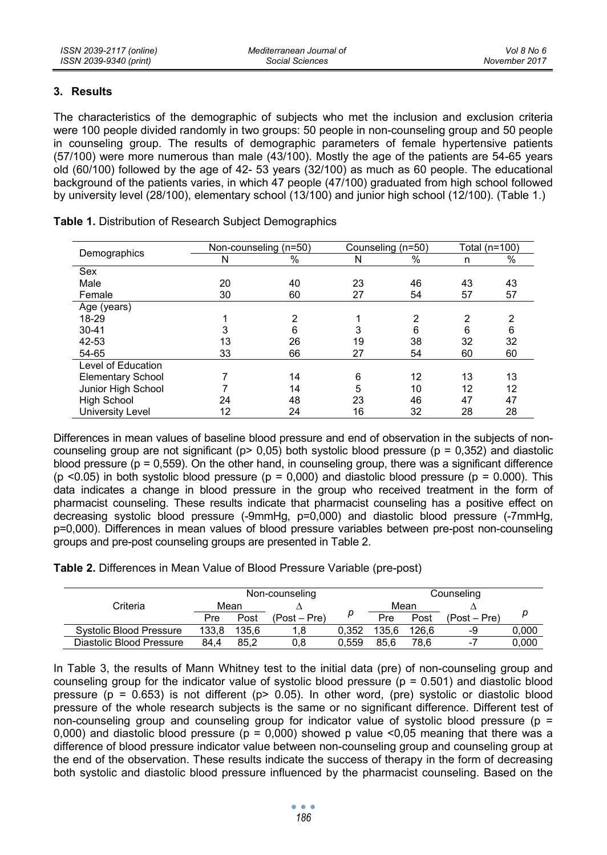## **3. Results**

The characteristics of the demographic of subjects who met the inclusion and exclusion criteria were 100 people divided randomly in two groups: 50 people in non-counseling group and 50 people in counseling group. The results of demographic parameters of female hypertensive patients (57/100) were more numerous than male (43/100). Mostly the age of the patients are 54-65 years old (60/100) followed by the age of 42- 53 years (32/100) as much as 60 people. The educational background of the patients varies, in which 47 people (47/100) graduated from high school followed by university level (28/100), elementary school (13/100) and junior high school (12/100). (Table 1.)

|                          |    | Non-counseling (n=50) |    | Counseling (n=50) | Total (n=100) |    |
|--------------------------|----|-----------------------|----|-------------------|---------------|----|
| Demographics             | N  | $\%$                  | N  | %                 | n             | %  |
| Sex                      |    |                       |    |                   |               |    |
| Male                     | 20 | 40                    | 23 | 46                | 43            | 43 |
| Female                   | 30 | 60                    | 27 | 54                | 57            | 57 |
| Age (years)              |    |                       |    |                   |               |    |
| 18-29                    |    | 2                     |    | 2                 | 2             | 2  |
| $30 - 41$                | 3  | 6                     | 3  | 6                 | 6             | 6  |
| 42-53                    | 13 | 26                    | 19 | 38                | 32            | 32 |
| 54-65                    | 33 | 66                    | 27 | 54                | 60            | 60 |
| Level of Education       |    |                       |    |                   |               |    |
| <b>Elementary School</b> |    | 14                    | 6  | 12                | 13            | 13 |
| Junior High School       |    | 14                    | 5  | 10                | 12            | 12 |
| <b>High School</b>       | 24 | 48                    | 23 | 46                | 47            | 47 |
| University Level         | 12 | 24                    | 16 | 32                | 28            | 28 |

**Table 1.** Distribution of Research Subject Demographics

Differences in mean values of baseline blood pressure and end of observation in the subjects of noncounseling group are not significant ( $p > 0.05$ ) both systolic blood pressure ( $p = 0.352$ ) and diastolic blood pressure ( $p = 0.559$ ). On the other hand, in counseling group, there was a significant difference (p <0.05) in both systolic blood pressure (p = 0,000) and diastolic blood pressure (p = 0.000). This data indicates a change in blood pressure in the group who received treatment in the form of pharmacist counseling. These results indicate that pharmacist counseling has a positive effect on decreasing systolic blood pressure (-9mmHg, p=0,000) and diastolic blood pressure (-7mmHg, p=0,000). Differences in mean values of blood pressure variables between pre-post non-counseling groups and pre-post counseling groups are presented in Table 2.

**Table 2.** Differences in Mean Value of Blood Pressure Variable (pre-post)

|                                | Non-counseling |       |                |       | Counseling |       |                |       |
|--------------------------------|----------------|-------|----------------|-------|------------|-------|----------------|-------|
| Criteria                       |                | Mean  |                |       |            | Mean  |                |       |
|                                | Pre            | Post  | $(Post - Pre)$ |       | <b>Pre</b> | Post  | $(Post - Pre)$ | р     |
| <b>Systolic Blood Pressure</b> | 133.8          | 135.6 |                | 0.352 | 135.6      | 126.6 | -9             | 0,000 |
| Diastolic Blood Pressure       | 84.4           | 85.2  | 0.8            | 0.559 | 85.6       | 78.6  | $-1$           | 0.000 |

In Table 3, the results of Mann Whitney test to the initial data (pre) of non-counseling group and counseling group for the indicator value of systolic blood pressure ( $p = 0.501$ ) and diastolic blood pressure  $(p = 0.653)$  is not different  $(p > 0.05)$ . In other word, (pre) systolic or diastolic blood pressure of the whole research subjects is the same or no significant difference. Different test of non-counseling group and counseling group for indicator value of systolic blood pressure (p = 0,000) and diastolic blood pressure ( $p = 0.000$ ) showed p value <0.05 meaning that there was a difference of blood pressure indicator value between non-counseling group and counseling group at the end of the observation. These results indicate the success of therapy in the form of decreasing both systolic and diastolic blood pressure influenced by the pharmacist counseling. Based on the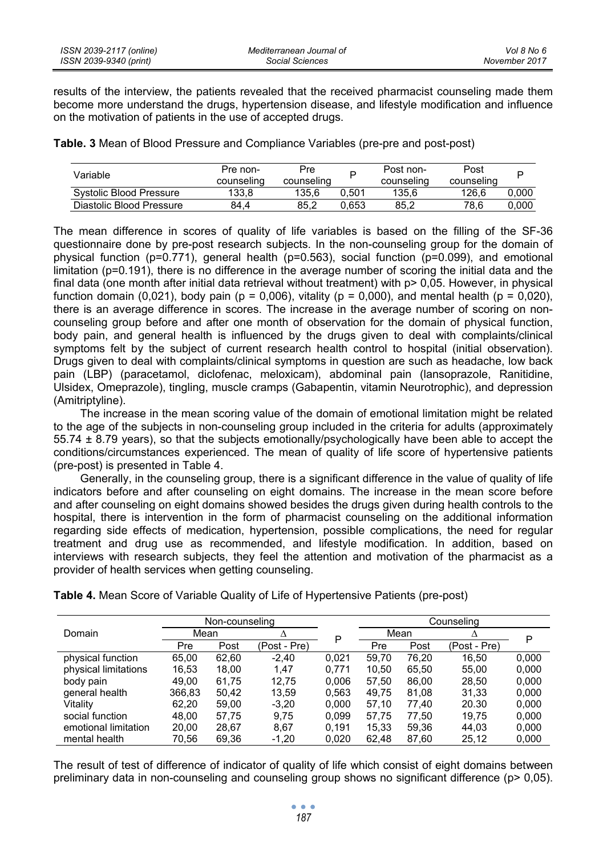results of the interview, the patients revealed that the received pharmacist counseling made them become more understand the drugs, hypertension disease, and lifestyle modification and influence on the motivation of patients in the use of accepted drugs.

**Table. 3** Mean of Blood Pressure and Compliance Variables (pre-pre and post-post)

| Variable                 | Pre non-<br>counseling | Pre<br>counseling |       | Post non-<br>counseling | Post<br>counseling |       |
|--------------------------|------------------------|-------------------|-------|-------------------------|--------------------|-------|
| Systolic Blood Pressure  | 133.8                  | 135.6             | 0.501 | 135.6                   | 126.6              | 0.000 |
| Diastolic Blood Pressure | 84.4                   | 85.2              | 0.653 | 85.2                    | 78.6               | 0.000 |

The mean difference in scores of quality of life variables is based on the filling of the SF-36 questionnaire done by pre-post research subjects. In the non-counseling group for the domain of physical function (p=0.771), general health (p=0.563), social function (p=0.099), and emotional limitation (p=0.191), there is no difference in the average number of scoring the initial data and the final data (one month after initial data retrieval without treatment) with  $p > 0.05$ . However, in physical function domain (0,021), body pain ( $p = 0.006$ ), vitality ( $p = 0.000$ ), and mental health ( $p = 0.020$ ), there is an average difference in scores. The increase in the average number of scoring on noncounseling group before and after one month of observation for the domain of physical function, body pain, and general health is influenced by the drugs given to deal with complaints/clinical symptoms felt by the subject of current research health control to hospital (initial observation). Drugs given to deal with complaints/clinical symptoms in question are such as headache, low back pain (LBP) (paracetamol, diclofenac, meloxicam), abdominal pain (lansoprazole, Ranitidine, Ulsidex, Omeprazole), tingling, muscle cramps (Gabapentin, vitamin Neurotrophic), and depression (Amitriptyline).

The increase in the mean scoring value of the domain of emotional limitation might be related to the age of the subjects in non-counseling group included in the criteria for adults (approximately 55.74 ± 8.79 years), so that the subjects emotionally/psychologically have been able to accept the conditions/circumstances experienced. The mean of quality of life score of hypertensive patients (pre-post) is presented in Table 4.

Generally, in the counseling group, there is a significant difference in the value of quality of life indicators before and after counseling on eight domains. The increase in the mean score before and after counseling on eight domains showed besides the drugs given during health controls to the hospital, there is intervention in the form of pharmacist counseling on the additional information regarding side effects of medication, hypertension, possible complications, the need for regular treatment and drug use as recommended, and lifestyle modification. In addition, based on interviews with research subjects, they feel the attention and motivation of the pharmacist as a provider of health services when getting counseling.

|                      | Non-counseling |       |              | Counseling |       |       |              |       |
|----------------------|----------------|-------|--------------|------------|-------|-------|--------------|-------|
| Domain               | Mean           |       | Δ            | Ρ          |       | Mean  |              | P     |
|                      | Pre            | Post  | (Post - Pre) |            | Pre   | Post  | (Post - Pre) |       |
| physical function    | 65.00          | 62.60 | $-2.40$      | 0.021      | 59.70 | 76.20 | 16.50        | 0.000 |
| physical limitations | 16,53          | 18,00 | 1.47         | 0.771      | 10.50 | 65.50 | 55.00        | 0,000 |
| body pain            | 49.00          | 61.75 | 12.75        | 0.006      | 57.50 | 86.00 | 28.50        | 0.000 |
| general health       | 366,83         | 50.42 | 13.59        | 0.563      | 49.75 | 81.08 | 31.33        | 0.000 |
| Vitality             | 62.20          | 59.00 | $-3.20$      | 0.000      | 57.10 | 77.40 | 20.30        | 0,000 |
| social function      | 48.00          | 57,75 | 9.75         | 0.099      | 57.75 | 77.50 | 19.75        | 0,000 |
| emotional limitation | 20,00          | 28,67 | 8.67         | 0.191      | 15.33 | 59.36 | 44.03        | 0,000 |
| mental health        | 70,56          | 69,36 | $-1,20$      | 0,020      | 62,48 | 87,60 | 25,12        | 0,000 |

**Table 4.** Mean Score of Variable Quality of Life of Hypertensive Patients (pre-post)

The result of test of difference of indicator of quality of life which consist of eight domains between preliminary data in non-counseling and counseling group shows no significant difference (p> 0,05).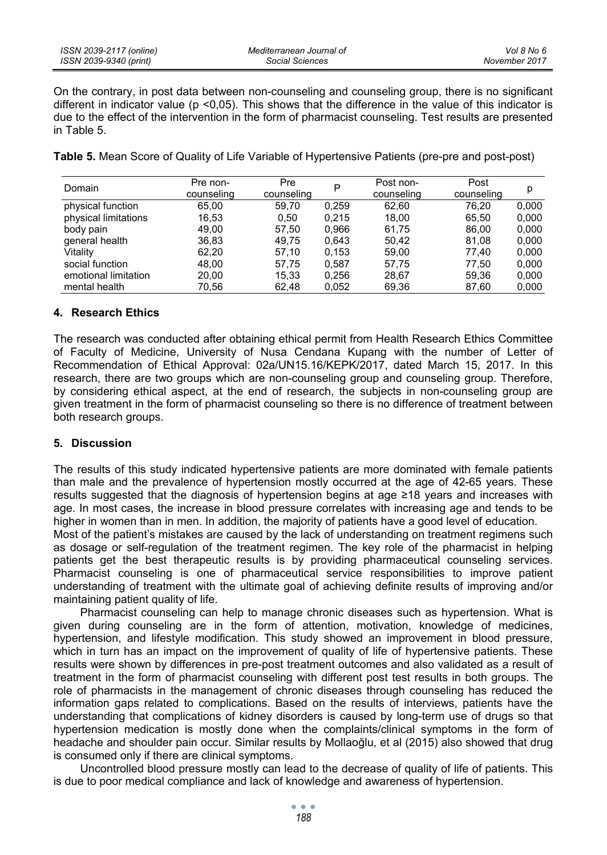On the contrary, in post data between non-counseling and counseling group, there is no significant different in indicator value ( $p$  <0,05). This shows that the difference in the value of this indicator is due to the effect of the intervention in the form of pharmacist counseling. Test results are presented in Table 5.

**Table 5.** Mean Score of Quality of Life Variable of Hypertensive Patients (pre-pre and post-post)

| Domain               | Pre non-<br>counseling | Pre<br>counseling | P     | Post non-<br>counseling | Post<br>counseling | р     |
|----------------------|------------------------|-------------------|-------|-------------------------|--------------------|-------|
| physical function    | 65.00                  | 59.70             | 0.259 | 62.60                   | 76.20              | 0.000 |
| physical limitations | 16.53                  | 0.50              | 0.215 | 18.00                   | 65.50              | 0.000 |
| body pain            | 49.00                  | 57.50             | 0.966 | 61.75                   | 86,00              | 0.000 |
| general health       | 36,83                  | 49.75             | 0.643 | 50.42                   | 81.08              | 0.000 |
| Vitality             | 62.20                  | 57.10             | 0.153 | 59.00                   | 77.40              | 0,000 |
| social function      | 48.00                  | 57,75             | 0.587 | 57,75                   | 77.50              | 0,000 |
| emotional limitation | 20,00                  | 15,33             | 0.256 | 28.67                   | 59.36              | 0,000 |
| mental health        | 70.56                  | 62.48             | 0.052 | 69.36                   | 87.60              | 0,000 |

# **4. Research Ethics**

The research was conducted after obtaining ethical permit from Health Research Ethics Committee of Faculty of Medicine, University of Nusa Cendana Kupang with the number of Letter of Recommendation of Ethical Approval: 02a/UN15.16/KEPK/2017, dated March 15, 2017. In this research, there are two groups which are non-counseling group and counseling group. Therefore, by considering ethical aspect, at the end of research, the subjects in non-counseling group are given treatment in the form of pharmacist counseling so there is no difference of treatment between both research groups.

# **5. Discussion**

The results of this study indicated hypertensive patients are more dominated with female patients than male and the prevalence of hypertension mostly occurred at the age of 42-65 years. These results suggested that the diagnosis of hypertension begins at age ≥18 years and increases with age. In most cases, the increase in blood pressure correlates with increasing age and tends to be higher in women than in men. In addition, the majority of patients have a good level of education.

Most of the patient's mistakes are caused by the lack of understanding on treatment regimens such as dosage or self-regulation of the treatment regimen. The key role of the pharmacist in helping patients get the best therapeutic results is by providing pharmaceutical counseling services. Pharmacist counseling is one of pharmaceutical service responsibilities to improve patient understanding of treatment with the ultimate goal of achieving definite results of improving and/or maintaining patient quality of life.

Pharmacist counseling can help to manage chronic diseases such as hypertension. What is given during counseling are in the form of attention, motivation, knowledge of medicines, hypertension, and lifestyle modification. This study showed an improvement in blood pressure, which in turn has an impact on the improvement of quality of life of hypertensive patients. These results were shown by differences in pre-post treatment outcomes and also validated as a result of treatment in the form of pharmacist counseling with different post test results in both groups. The role of pharmacists in the management of chronic diseases through counseling has reduced the information gaps related to complications. Based on the results of interviews, patients have the understanding that complications of kidney disorders is caused by long-term use of drugs so that hypertension medication is mostly done when the complaints/clinical symptoms in the form of headache and shoulder pain occur. Similar results by Mollaoğlu, et al (2015) also showed that drug is consumed only if there are clinical symptoms.

Uncontrolled blood pressure mostly can lead to the decrease of quality of life of patients. This is due to poor medical compliance and lack of knowledge and awareness of hypertension.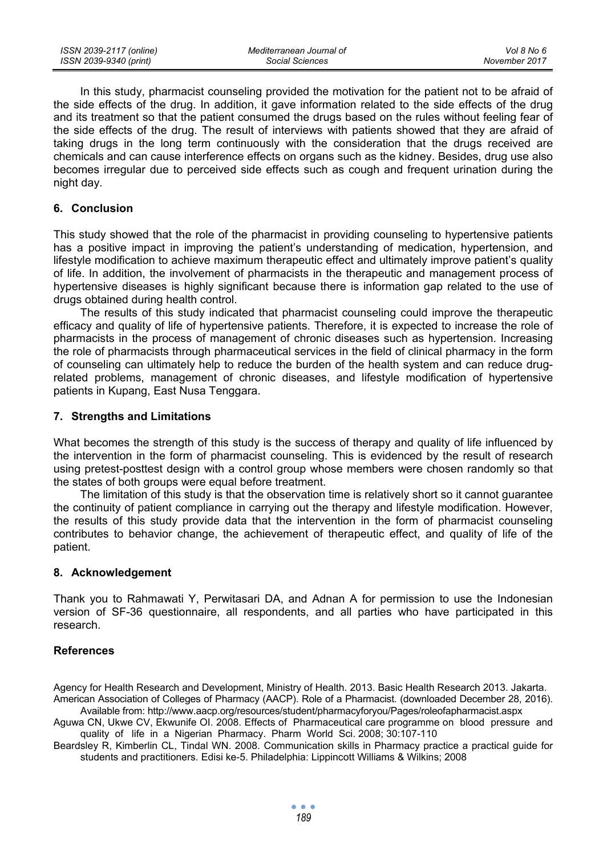In this study, pharmacist counseling provided the motivation for the patient not to be afraid of the side effects of the drug. In addition, it gave information related to the side effects of the drug and its treatment so that the patient consumed the drugs based on the rules without feeling fear of the side effects of the drug. The result of interviews with patients showed that they are afraid of taking drugs in the long term continuously with the consideration that the drugs received are chemicals and can cause interference effects on organs such as the kidney. Besides, drug use also becomes irregular due to perceived side effects such as cough and frequent urination during the night day.

#### **6. Conclusion**

This study showed that the role of the pharmacist in providing counseling to hypertensive patients has a positive impact in improving the patient's understanding of medication, hypertension, and lifestyle modification to achieve maximum therapeutic effect and ultimately improve patient's quality of life. In addition, the involvement of pharmacists in the therapeutic and management process of hypertensive diseases is highly significant because there is information gap related to the use of drugs obtained during health control.

The results of this study indicated that pharmacist counseling could improve the therapeutic efficacy and quality of life of hypertensive patients. Therefore, it is expected to increase the role of pharmacists in the process of management of chronic diseases such as hypertension. Increasing the role of pharmacists through pharmaceutical services in the field of clinical pharmacy in the form of counseling can ultimately help to reduce the burden of the health system and can reduce drugrelated problems, management of chronic diseases, and lifestyle modification of hypertensive patients in Kupang, East Nusa Tenggara.

### **7. Strengths and Limitations**

What becomes the strength of this study is the success of therapy and quality of life influenced by the intervention in the form of pharmacist counseling. This is evidenced by the result of research using pretest-posttest design with a control group whose members were chosen randomly so that the states of both groups were equal before treatment.

The limitation of this study is that the observation time is relatively short so it cannot guarantee the continuity of patient compliance in carrying out the therapy and lifestyle modification. However, the results of this study provide data that the intervention in the form of pharmacist counseling contributes to behavior change, the achievement of therapeutic effect, and quality of life of the patient.

#### **8. Acknowledgement**

Thank you to Rahmawati Y, Perwitasari DA, and Adnan A for permission to use the Indonesian version of SF-36 questionnaire, all respondents, and all parties who have participated in this research.

### **References**

Agency for Health Research and Development, Ministry of Health. 2013. Basic Health Research 2013. Jakarta. American Association of Colleges of Pharmacy (AACP). Role of a Pharmacist. (downloaded December 28, 2016).

Available from: http://www.aacp.org/resources/student/pharmacyforyou/Pages/roleofapharmacist.aspx Aguwa CN, Ukwe CV, Ekwunife OI. 2008. Effects of Pharmaceutical care programme on blood pressure and

quality of life in a Nigerian Pharmacy. Pharm World Sci. 2008; 30:107-110 Beardsley R, Kimberlin CL, Tindal WN. 2008. Communication skills in Pharmacy practice a practical guide for

students and practitioners. Edisi ke-5. Philadelphia: Lippincott Williams & Wilkins; 2008